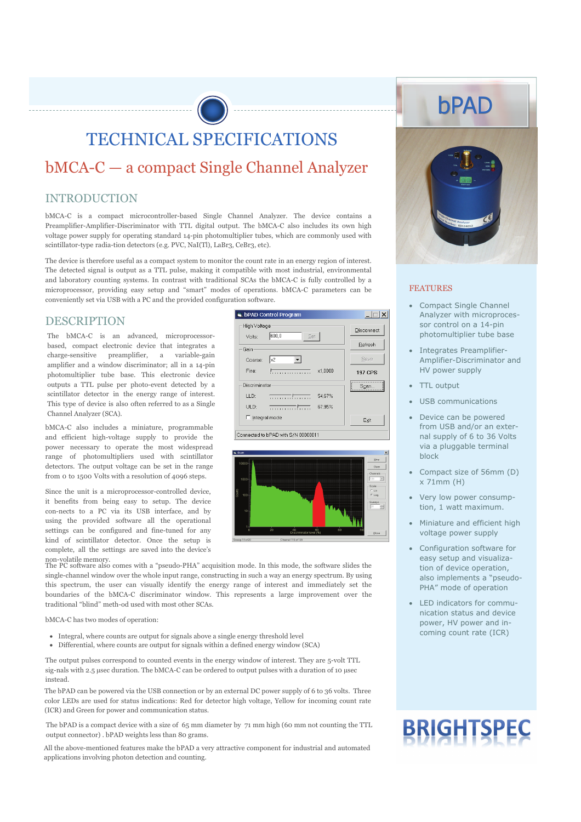TECHNICAL SPECIFICATIONS

## bMCA-C — a compact Single Channel Analyzer

#### INTRODUCTION

bMCA-C is a compact microcontroller-based Single Channel Analyzer. The device contains a Preamplifier-Amplifier-Discriminator with TTL digital output. The bMCA-C also includes its own high voltage power supply for operating standard 14-pin photomultiplier tubes, which are commonly used with scintillator-type radia-tion detectors (e.g. PVC, NaI(Tl), LaBr3, CeBr3, etc).

The device is therefore useful as a compact system to monitor the count rate in an energy region of interest. The detected signal is output as a TTL pulse, making it compatible with most industrial, environmental and laboratory counting systems. In contrast with traditional SCAs the bMCA-C is fully controlled by a microprocessor, providing easy setup and "smart" modes of operations. bMCA-C parameters can be conveniently set via USB with a PC and the provided configuration software.

#### DESCRIPTION

The bMCA-C is an advanced, microprocessorbased, compact electronic device that integrates a charge-sensitive preamplifier, a variable-gain amplifier and a window discriminator; all in a 14-pin photomultiplier tube base. This electronic device outputs a TTL pulse per photo-event detected by a scintillator detector in the energy range of interest. This type of device is also often referred to as a Single Channel Analyzer (SCA).

bMCA-C also includes a miniature, programmable and efficient high-voltage supply to provide the power necessary to operate the most widespread range of photomultipliers used with scintillator detectors. The output voltage can be set in the range from 0 to 1500 Volts with a resolution of 4096 steps.

Since the unit is a microprocessor-controlled device, it benefits from being easy to setup. The device con-nects to a PC via its USB interface, and by using the provided software all the operational settings can be configured and fine-tuned for any kind of scintillator detector. Once the setup is complete, all the settings are saved into the device's

bPAD Control Program  $\Box$ - High Voltage Disconnect Volte  $600.0$ Set Refresh -<br>Gair Save  $\overline{\phantom{a}}$ Coarse  $\overline{\mathbb{R}}$ Fine: 197 CPS Discriminator  $S<sub>Can</sub>$  $11D<sub>2</sub>$  $\overline{\cdots \cdots \cdots \cdots}$  $UBD$  $\Box$  Integral mode Exit Connected to bPAD with S/N 00000011



non-volatile memory. The PC software also comes with a "pseudo-PHA" acquisition mode. In this mode, the software slides the single-channel window over the whole input range, constructing in such a way an energy spectrum. By using this spectrum, the user can visually identify the energy range of interest and immediately set the boundaries of the bMCA-C discriminator window. This represents a large improvement over the traditional "blind" meth-od used with most other SCAs.

bMCA-C has two modes of operation:

- Integral, where counts are output for signals above a single energy threshold level
- Differential, where counts are output for signals within a defined energy window (SCA)

The output pulses correspond to counted events in the energy window of interest. They are 5-volt TTL sig-nals with 2.5 µsec duration. The bMCA-C can be ordered to output pulses with a duration of 10 µsec instead.

The bPAD can be powered via the USB connection or by an external DC power supply of 6 to 36 volts. Three color LEDs are used for status indications: Red for detector high voltage, Yellow for incoming count rate (ICR) and Green for power and communication status.

The bPAD is a compact device with a size of 65 mm diameter by 71 mm high (60 mm not counting the TTL output connector) . bPAD weights less than 80 grams.

All the above-mentioned features make the bPAD a very attractive component for industrial and automated applications involving photon detection and counting.



#### FEATURES

- Compact Single Channel Analyzer with microprocessor control on a 14-pin photomultiplier tube base
- Integrates Preamplifier-Amplifier-Discriminator and HV power supply
- TTL output
- USB communications
- Device can be powered from USB and/or an external supply of 6 to 36 Volts via a pluggable terminal block
- Compact size of 56mm (D) x 71mm (H)
- Very low power consumption, 1 watt maximum.
- Miniature and efficient high voltage power supply
- Configuration software for easy setup and visualization of device operation, also implements a "pseudo-PHA" mode of operation
- LED indicators for communication status and device power, HV power and incoming count rate (ICR)

# **BRIGHTSPEC**